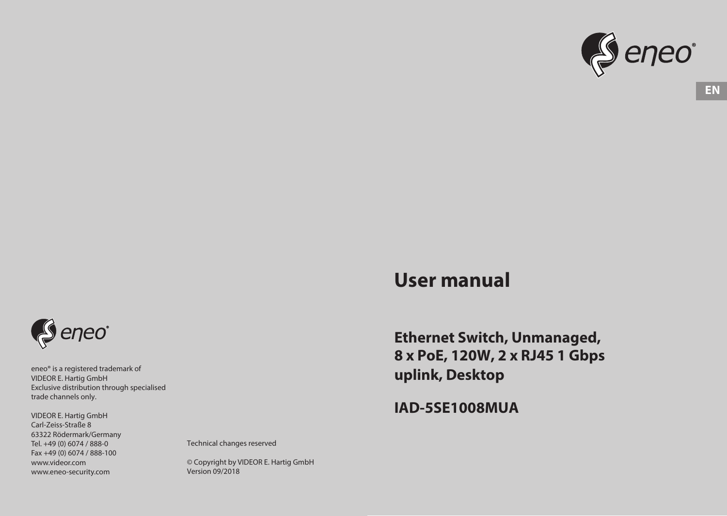

# **User manual**

**Ethernet Switch, Unmanaged, 8 x PoE, 120W, 2 x RJ45 1 Gbps uplink, Desktop**

**IAD-5SE1008MUA**

Seneo<sup>®</sup>

eneo® is a registered trademark of VIDEOR E. Hartig GmbH Exclusive distribution through specialised trade channels only.

VIDEOR E. Hartig GmbH Carl-Zeiss-Straße 8 63322 Rödermark/Germany Tel. +49 (0) 6074 / 888-0 Fax +49 (0) 6074 / 888-100 www.videor.com www.eneo-security.com

Technical changes reserved

© Copyright by VIDEOR E. Hartig GmbH Version 09/2018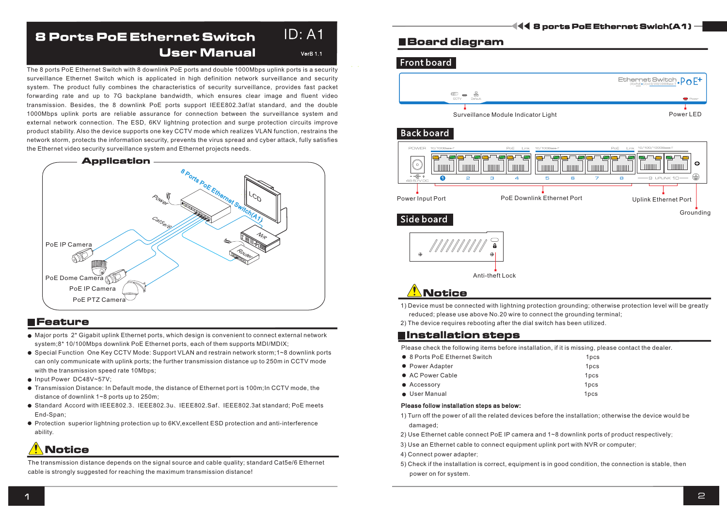#### 8 Ports PoE Ethernet Switch User Manual VerB 1.1  $ID: A1$

The 8 ports PoE Ethernet Switch with 8 downlink PoE ports and double 1000Mbps uplink ports is a security surveillance Ethernet Switch which is applicated in high definition network surveillance and security system. The product fully combines the characteristics of security surveillance, provides fast packet forwarding rate and up to 7G backplane bandwidth, which ensures clear image and fluent video transmission. Besides, the 8 downlink PoE ports support IEEE802.3af/at standard, and the double 1000Mbps uplink ports are reliable assurance for connection between the surveillance system and external network connection. The ESD, 6KV lightning protection and surge protection circuits improve product stability. Also the device supports one key CCTV mode which realizes VLAN function, restrains the network storm, protects the information security, prevents the virus spread and cyber attack, fully satisfies the Ethernet video security surveillance system and Ethernet projects needs.



### **NFeature**

- Major ports 2\* Gigabit uplink Ethernet ports, which design is convenient to connect external network system;8\* 10/100Mbps downlink PoE Ethernet ports, each of them supports MDI/MDIX;
- Special Function One Key CCTV Mode: Support VLAN and restrain network storm;1~8 downlink ports can only communicate with uplink ports; the further transmission distance up to 250m in CCTV mode with the transmission speed rate 10Mbps;
- Input Power DC48V~57V:
- Transmission Distance: In Default mode, the distance of Ethernet port is 100m;In CCTV mode, the distance of downlink 1~8 ports up to 250m;
- Standard Accord with IEEE802.3、IEEE802.3u、IEEE802.Saf、IEEE802.3at standard; PoE meets End-Span;
- Protection superior lightning protection up to 6KV,excellent ESD protection and anti-interference ability.

# **Notice**

The transmission distance depends on the signal source and cable quality; standard Cat5e/6 Ethernet cable is strongly suggested for reaching the maximum transmission distance!

### Board diagram

### Front board



### **Back board**



# Anti-theft Lock

**Notice** 

1) Device must be connected with lightning protection grounding; otherwise protection level will be greatly reduced; please use above No.20 wire to connect the grounding terminal;

2) The device requires rebooting after the dial switch has been utilized.

### **E**Installation steps

Please check the following items before installation, if it is missing, please contact the dealer.

| • 8 Ports PoE Ethernet Switch | 1 <sub>pcs</sub> |
|-------------------------------|------------------|
| • Power Adapter               | 1 <sub>pcs</sub> |
| • AC Power Cable              | 1 <sub>pcs</sub> |
| • Accessory                   | 1 <sub>pcs</sub> |
| • User Manual                 | 1 <sub>pcs</sub> |

#### Please follow installation steps as below:

1 ) Turn off the power of all the related devices before the installation; otherwise the device would be damaged;

2 ) Use Ethernet cable connect PoE IP camera and 1~8 downlink ports of product respectively;

) 3 Use an Ethernet cable to connect equipment uplink port with NVR or computer;

4 ) Connect power adapter;

5 ) Check if the installation is correct, equipment is in good condition, the connection is stable, then power on for system.